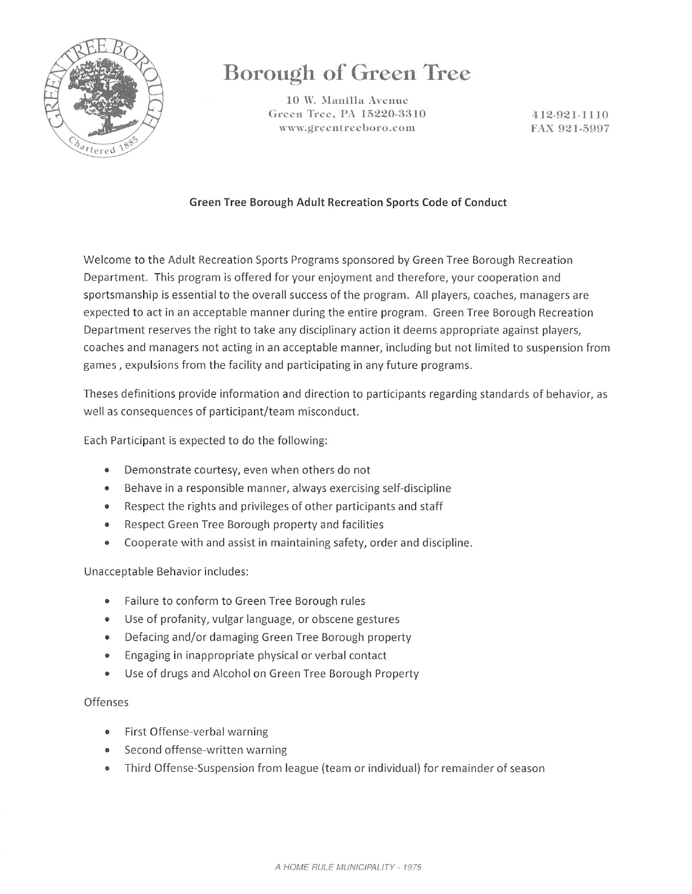

# Borough of Green Tree

10 W. Manilla Avenue Green Tree, PA 15220-3310 www.greentreeboro.com

412-921-1110 FAX 921-5997

### Green Tree Borough Adult Recreation Sports Code of Conduct

Welcome to the Adult Recreation Sports Programs sponsored by Green Tree Borough Recreation Department. This program is offered for your enjoyment and therefore, your cooperation and sportsmanship is essential to the overall success of the program. All players, coaches, managers are expected to act in an acceptable manner during the entire program. Green Tree Borough Recreation Department reserves the right to take any disciplinary action it deems appropriate against players, coaches and managers not acting in an acceptable manner, including but not limited to suspension from games, expulsions from the facility and participating in any future programs.

Theses definitions provide information and direction to participants regarding standards of behavior, as well as consequences of participant/team misconduct.

Each Participant is expected to do the following:

- Demonstrate courtesy, even when others do not
- Behave in a responsible manner, always exercising self-discipline
- Respect the rights and privileges of other participants and staff
- Respect Green Tree Borough property and facilities
- Cooperate with and assist in maintaining safety, order and discipline.

Unacceptable Behavior includes:

- Failure to conform to Green Tree Borough rules  $\bullet$
- Use of profanity, vulgar language, or obscene gestures
- Defacing and/or damaging Green Tree Borough property
- Engaging in inappropriate physical or verbal contact
- Use of drugs and Alcohol on Green Tree Borough Property  $\bullet$

### Offenses

- First Offense-verbal warning
- Second offense-written warning
- Third Offense-Suspension from league (team or individual) for remainder of season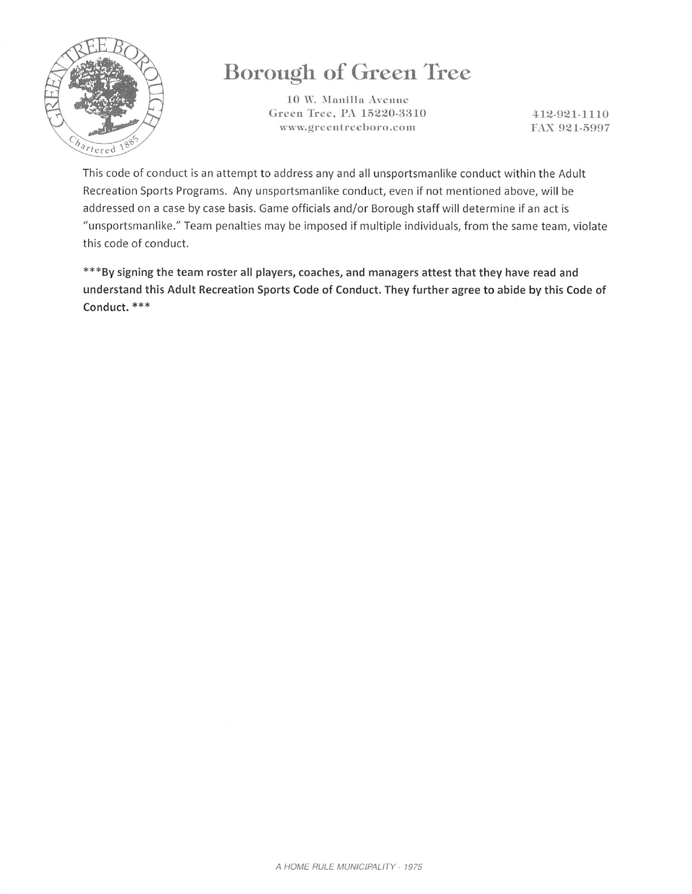

# Borough of Green Tree

10 W. Manilla Avenue Green Tree, PA 15220-3310 www.greentreeboro.com

412-921-1110 FAX 921-5997

This code of conduct is an attempt to address any and all unsportsmanlike conduct within the Adult Recreation Sports Programs. Any unsportsmanlike conduct, even if not mentioned above, will be addressed on a case by case basis. Game officials and/or Borough staff will determine if an act is "unsportsmanlike." Team penalties may be imposed if multiple individuals, from the same team, violate this code of conduct.

\*\*\*By signing the team roster all players, coaches, and managers attest that they have read and understand this Adult Recreation Sports Code of Conduct. They further agree to abide by this Code of Conduct. \*\*\*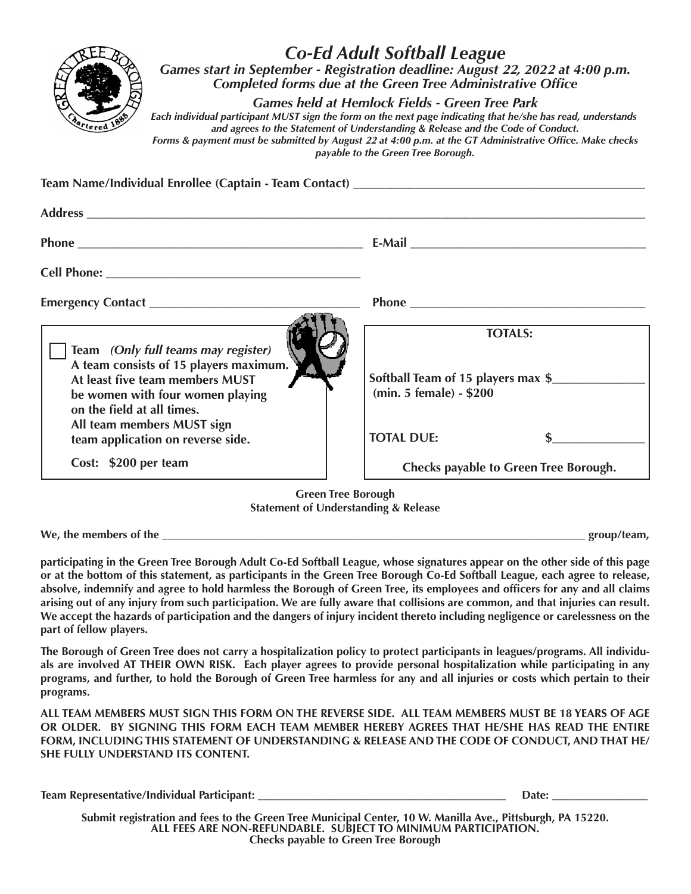

## *Co-Ed Adult Softball League Games start in September - Registration deadline: August* **22***, 202***2** *at 4:00 p.m. Completed forms due at the Green Tree Administrative Office*

*Games held at Hemlock Fields - Green Tree Park*

*Each individual participant MUST sign the form on the next page indicating that he/she has read, understands and agrees to the Statement of Understanding & Release and the Code of Conduct. Forms & payment must be submitted by August* **22** *at 4:00 p.m. at the GT Administrative Office. Make checks* 

*payable to the Green Tree Borough.*

| E-Mail <b>E-Mail</b>                                                            |
|---------------------------------------------------------------------------------|
|                                                                                 |
|                                                                                 |
| <b>TOTALS:</b><br>Softball Team of 15 players max \$<br>(min. 5 female) - \$200 |
| <b>TOTAL DUE:</b><br><b>Checks payable to Green Tree Borough.</b>               |
|                                                                                 |

**Green Tree Borough Statement of Understanding & Release**

We, the members of the **example in the set of the set of the set of the set of the set of the set of the set of the set of the set of the set of the set of the set of the set of the set of the set of the set of the set of** 

**participating in the Green Tree Borough Adult Co-Ed Softball League, whose signatures appear on the other side of this page or at the bottom of this statement, as participants in the Green Tree Borough Co-Ed Softball League, each agree to release, absolve, indemnify and agree to hold harmless the Borough of Green Tree, its employees and officers for any and all claims arising out of any injury from such participation. We are fully aware that collisions are common, and that injuries can result. We accept the hazards of participation and the dangers of injury incident thereto including negligence or carelessness on the part of fellow players.**

**The Borough of Green Tree does not carry a hospitalization policy to protect participants in leagues/programs. All individuals are involved AT THEIR OWN RISK. Each player agrees to provide personal hospitalization while participating in any programs, and further, to hold the Borough of Green Tree harmless for any and all injuries or costs which pertain to their programs.**

**ALL TEAM MEMBERS MUST SIGN THIS FORM ON THE REVERSE SIDE. ALL TEAM MEMBERS MUST BE 18 YEARS OF AGE OR OLDER. BY SIGNING THIS FORM EACH TEAM MEMBER HEREBY AGREES THAT HE/SHE HAS READ THE ENTIRE FORM, INCLUDING THIS STATEMENT OF UNDERSTANDING & RELEASE AND THE CODE OF CONDUCT, AND THAT HE/ SHE FULLY UNDERSTAND ITS CONTENT.**

| Team Representative/Individual Participant: | Date <sup>.</sup> |  |  |
|---------------------------------------------|-------------------|--|--|
|                                             |                   |  |  |

**Submit registration and fees to the Green Tree Municipal Center, 10 W. Manilla Ave., Pittsburgh, PA 15220. ALL FEES ARE NON-REFUNDABLE. SUBJECT TO MINIMUM PARTICIPATION. Checks payable to Green Tree Borough**